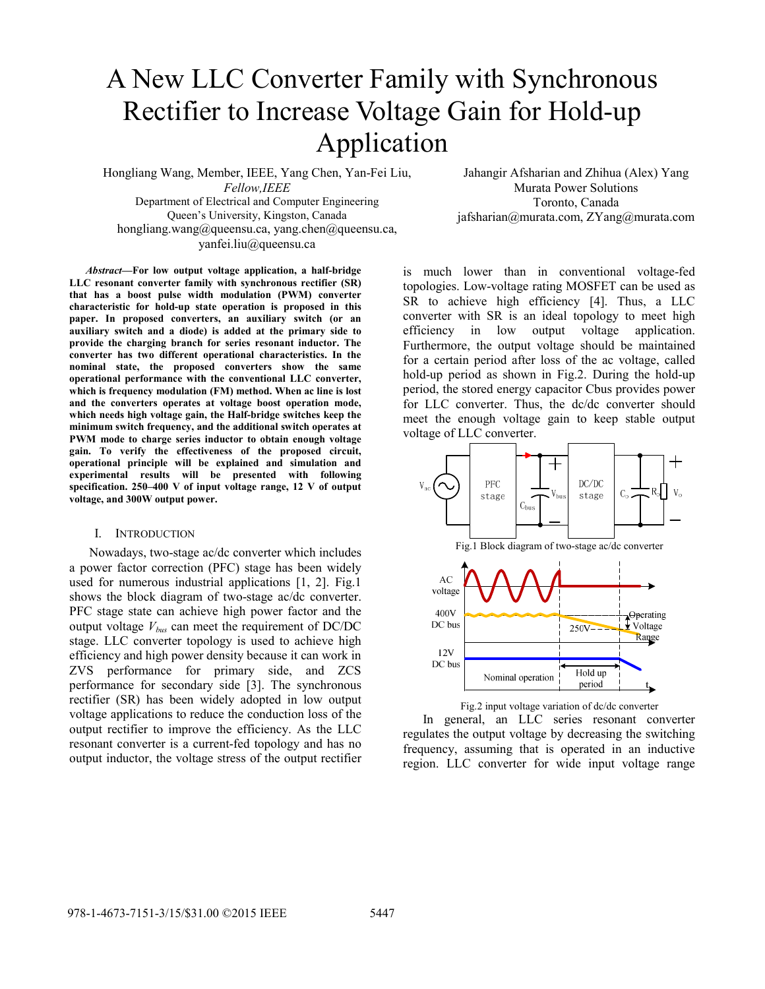# A New LLC Converter Family with Synchronous Rectifier to Increase Voltage Gain for Hold-up Application

Hongliang Wang, Member, IEEE, Yang Chen, Yan-Fei Liu, *Fellow,IEEE* Department of Electrical and Computer Engineering Queen's University, Kingston, Canada

Jahangir Afsharian and Zhihua (Alex) Yang Murata Power Solutions Toronto, Canada jafsharian@murata.com, ZYang@murata.com

hongliang.wang@queensu.ca, yang.chen@queensu.ca, yanfei.liu@queensu.ca

*Abstract***—For low output voltage application, a half-bridge LLC resonant converter family with synchronous rectifier (SR) that has a boost pulse width modulation (PWM) converter characteristic for hold-up state operation is proposed in this paper. In proposed converters, an auxiliary switch (or an auxiliary switch and a diode) is added at the primary side to provide the charging branch for series resonant inductor. The converter has two different operational characteristics. In the nominal state, the proposed converters show the same operational performance with the conventional LLC converter, which is frequency modulation (FM) method. When ac line is lost and the converters operates at voltage boost operation mode, which needs high voltage gain, the Half-bridge switches keep the minimum switch frequency, and the additional switch operates at PWM mode to charge series inductor to obtain enough voltage gain. To verify the effectiveness of the proposed circuit, operational principle will be explained and simulation and experimental results will be presented with following specification. 250–400 V of input voltage range, 12 V of output voltage, and 300W output power.** 

#### I. INTRODUCTION

Nowadays, two-stage ac/dc converter which includes a power factor correction (PFC) stage has been widely used for numerous industrial applications [1, 2]. Fig.1 shows the block diagram of two-stage ac/dc converter. PFC stage state can achieve high power factor and the output voltage *Vbus* can meet the requirement of DC/DC stage. LLC converter topology is used to achieve high efficiency and high power density because it can work in ZVS performance for primary side, and ZCS performance for secondary side [3]. The synchronous rectifier (SR) has been widely adopted in low output voltage applications to reduce the conduction loss of the output rectifier to improve the efficiency. As the LLC resonant converter is a current-fed topology and has no output inductor, the voltage stress of the output rectifier

is much lower than in conventional voltage-fed topologies. Low-voltage rating MOSFET can be used as SR to achieve high efficiency [4]. Thus, a LLC converter with SR is an ideal topology to meet high efficiency in low output voltage application. Furthermore, the output voltage should be maintained for a certain period after loss of the ac voltage, called hold-up period as shown in Fig.2. During the hold-up period, the stored energy capacitor Cbus provides power for LLC converter. Thus, the dc/dc converter should meet the enough voltage gain to keep stable output voltage of LLC converter.



Fig.2 input voltage variation of dc/dc converter

In general, an LLC series resonant converter regulates the output voltage by decreasing the switching frequency, assuming that is operated in an inductive region. LLC converter for wide input voltage range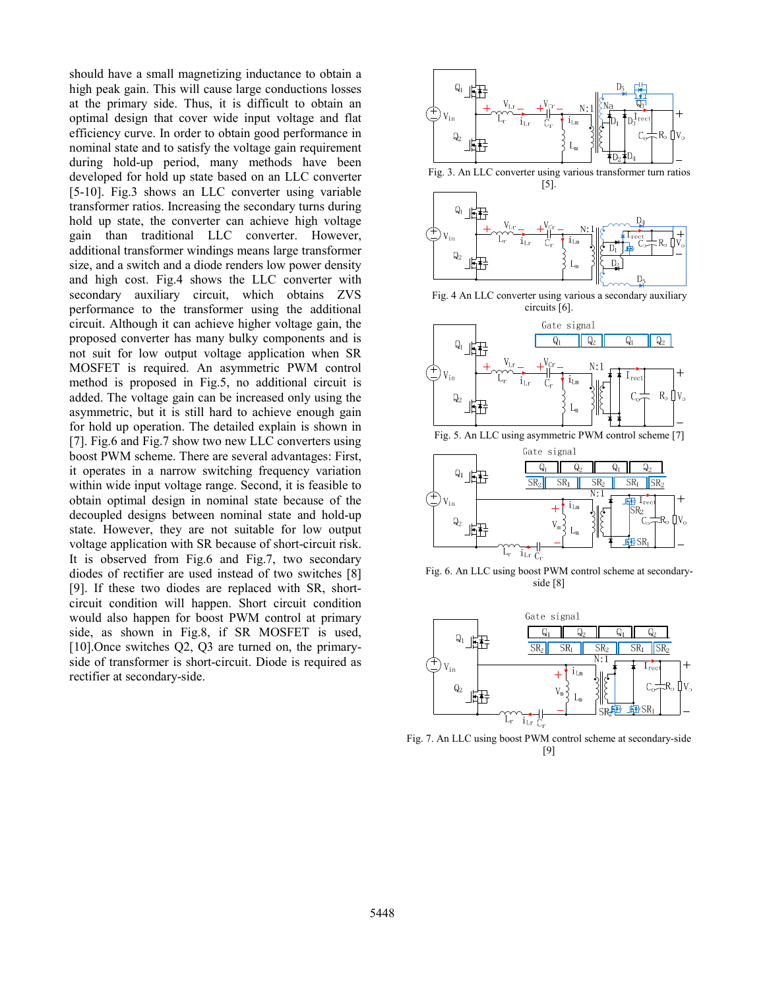should have a small magnetizing inductance to obtain a high peak gain. This will cause large conductions losses at the primary side. Thus, it is difficult to obtain an optimal design that cover wide input voltage and flat efficiency curve. In order to obtain good performance in nominal state and to satisfy the voltage gain requirement during hold-up period, many methods have been developed for hold up state based on an LLC converter [5-10]. Fig.3 shows an LLC converter using variable transformer ratios. Increasing the secondary turns during hold up state, the converter can achieve high voltage gain than traditional LLC converter. However, additional transformer windings means large transformer size, and a switch and a diode renders low power density and high cost. Fig.4 shows the LLC converter with secondary auxiliary circuit, which obtains ZVS performance to the transformer using the additional circuit. Although it can achieve higher voltage gain, the proposed converter has many bulky components and is not suit for low output voltage application when SR MOSFET is required. An asymmetric PWM control method is proposed in Fig.5, no additional circuit is added. The voltage gain can be increased only using the asymmetric, but it is still hard to achieve enough gain for hold up operation. The detailed explain is shown in [7]. Fig.6 and Fig.7 show two new LLC converters using boost PWM scheme. There are several advantages: First, it operates in a narrow switching frequency variation within wide input voltage range. Second, it is feasible to obtain optimal design in nominal state because of the decoupled designs between nominal state and hold-up state. However, they are not suitable for low output voltage application with SR because of short-circuit risk. It is observed from Fig.6 and Fig.7, two secondary diodes of rectifier are used instead of two switches [8] [9]. If these two diodes are replaced with SR, shortcircuit condition will happen. Short circuit condition would also happen for boost PWM control at primary side, as shown in Fig.8, if SR MOSFET is used, [10].Once switches Q2, Q3 are turned on, the primaryside of transformer is short-circuit. Diode is required as rectifier at secondary-side.



Fig. 6. An LLC using boost PWM control scheme at secondaryside [8]



Fig. 7. An LLC using boost PWM control scheme at secondary-side [9]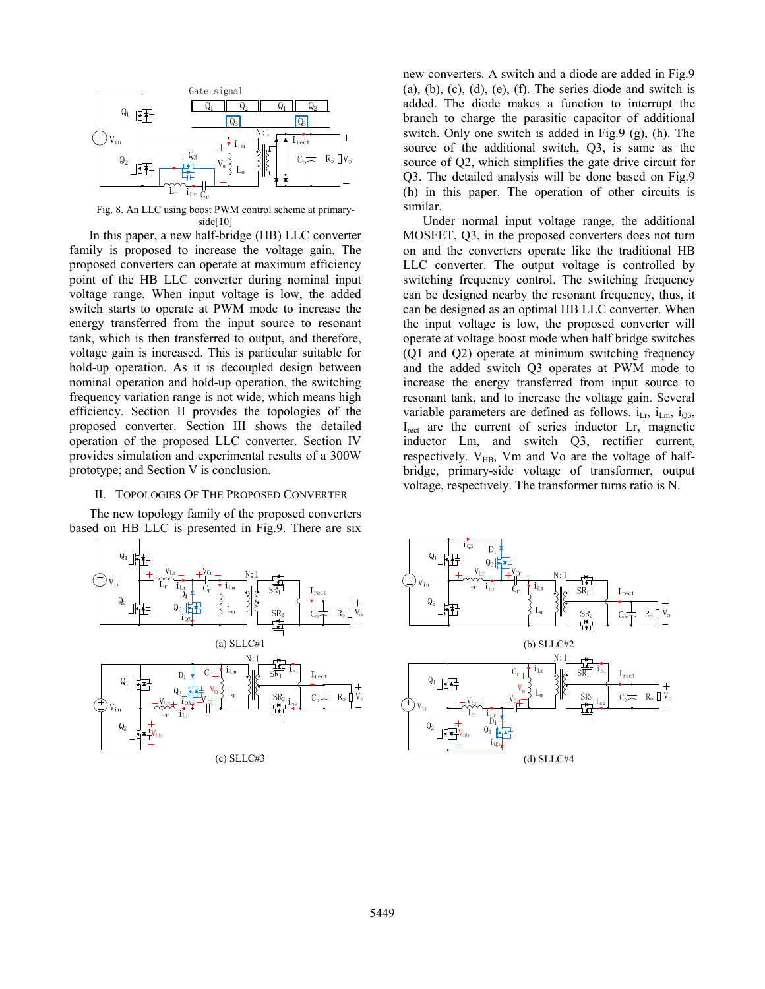

Fig. 8. An LLC using boost PWM control scheme at primaryside[10]

In this paper, a new half-bridge (HB) LLC converter family is proposed to increase the voltage gain. The proposed converters can operate at maximum efficiency point of the HB LLC converter during nominal input voltage range. When input voltage is low, the added switch starts to operate at PWM mode to increase the energy transferred from the input source to resonant tank, which is then transferred to output, and therefore, voltage gain is increased. This is particular suitable for hold-up operation. As it is decoupled design between nominal operation and hold-up operation, the switching frequency variation range is not wide, which means high efficiency. Section II provides the topologies of the proposed converter. Section III shows the detailed operation of the proposed LLC converter. Section IV provides simulation and experimental results of a 300W prototype; and Section V is conclusion.

## II. TOPOLOGIES OF THE PROPOSED CONVERTER

The new topology family of the proposed converters based on HB LLC is presented in Fig.9. There are six



new converters. A switch and a diode are added in Fig.9  $(a)$ ,  $(b)$ ,  $(c)$ ,  $(d)$ ,  $(e)$ ,  $(f)$ . The series diode and switch is added. The diode makes a function to interrupt the branch to charge the parasitic capacitor of additional switch. Only one switch is added in Fig.9 (g), (h). The source of the additional switch, Q3, is same as the source of Q2, which simplifies the gate drive circuit for Q3. The detailed analysis will be done based on Fig.9 (h) in this paper. The operation of other circuits is similar.

Under normal input voltage range, the additional MOSFET, Q3, in the proposed converters does not turn on and the converters operate like the traditional HB LLC converter. The output voltage is controlled by switching frequency control. The switching frequency can be designed nearby the resonant frequency, thus, it can be designed as an optimal HB LLC converter. When the input voltage is low, the proposed converter will operate at voltage boost mode when half bridge switches (Q1 and Q2) operate at minimum switching frequency and the added switch Q3 operates at PWM mode to increase the energy transferred from input source to resonant tank, and to increase the voltage gain. Several variable parameters are defined as follows.  $i_{\text{Lr}}$ ,  $i_{\text{Lm}}$ ,  $i_{\text{O3}}$ , I<sub>rect</sub> are the current of series inductor Lr, magnetic inductor Lm, and switch Q3, rectifier current, respectively.  $V_{HB}$ , Vm and Vo are the voltage of halfbridge, primary-side voltage of transformer, output voltage, respectively. The transformer turns ratio is N.

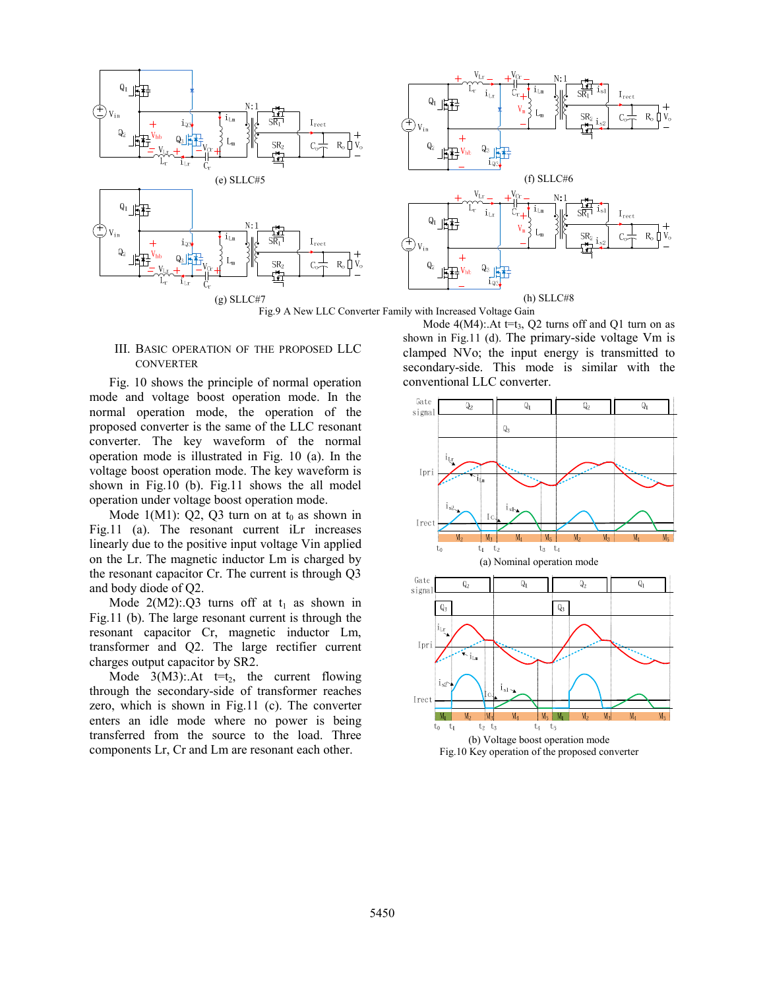

Fig.9 A New LLC Converter Family with Increased Voltage Gain

#### III. BASIC OPERATION OF THE PROPOSED LLC **CONVERTER**

Fig. 10 shows the principle of normal operation mode and voltage boost operation mode. In the normal operation mode, the operation of the proposed converter is the same of the LLC resonant converter. The key waveform of the normal operation mode is illustrated in Fig. 10 (a). In the voltage boost operation mode. The key waveform is shown in Fig.10 (b). Fig.11 shows the all model operation under voltage boost operation mode.

Mode  $1(M1)$ : Q2, Q3 turn on at  $t_0$  as shown in Fig.11 (a). The resonant current iLr increases linearly due to the positive input voltage Vin applied on the Lr. The magnetic inductor Lm is charged by the resonant capacitor Cr. The current is through Q3 and body diode of Q2.

Mode  $2(M2)$ :.Q3 turns off at t<sub>1</sub> as shown in Fig.11 (b). The large resonant current is through the resonant capacitor Cr, magnetic inductor Lm, transformer and Q2. The large rectifier current charges output capacitor by SR2.

Mode  $3(M3)$ : At  $t=t_2$ , the current flowing through the secondary-side of transformer reaches zero, which is shown in Fig.11 (c). The converter enters an idle mode where no power is being transferred from the source to the load. Three components Lr, Cr and Lm are resonant each other.

Mode  $4(M4)$ : At t=t<sub>3</sub>, Q2 turns off and Q1 turn on as shown in Fig.11 (d). The primary-side voltage Vm is clamped NVo; the input energy is transmitted to secondary-side. This mode is similar with the conventional LLC converter.

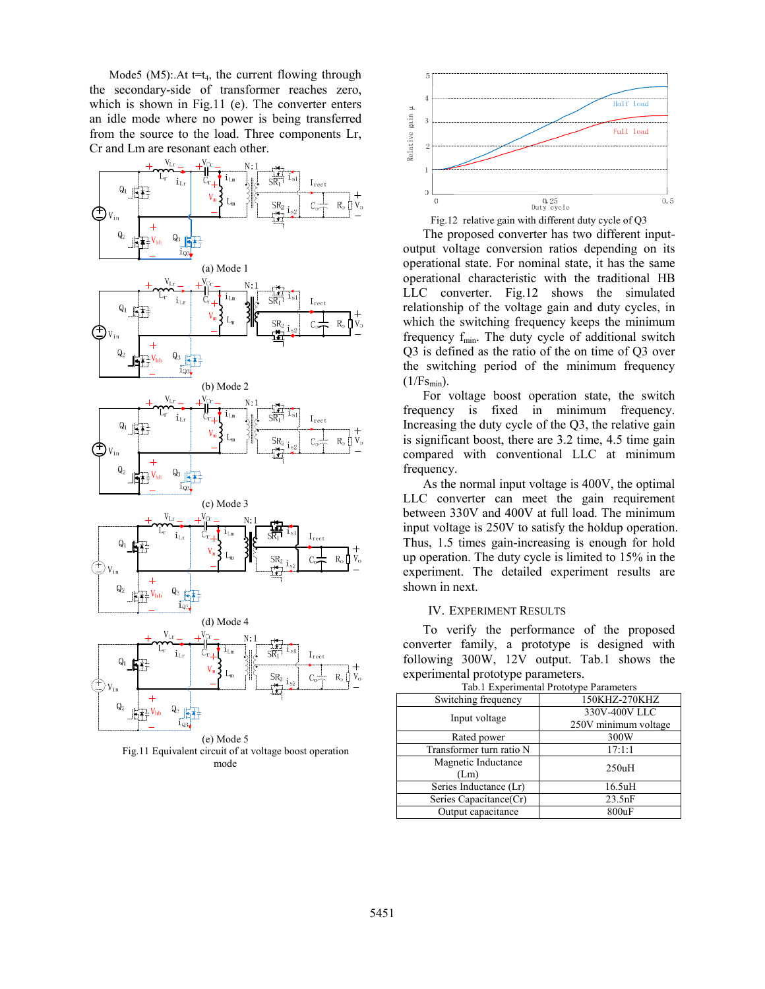Mode5 (M5): At  $t=t_4$ , the current flowing through the secondary-side of transformer reaches zero, which is shown in Fig.11 (e). The converter enters an idle mode where no power is being transferred from the source to the load. Three components Lr, Cr and Lm are resonant each other.



(e) Mode 5 Fig.11 Equivalent circuit of at voltage boost operation mode



The proposed converter has two different inputoutput voltage conversion ratios depending on its operational state. For nominal state, it has the same operational characteristic with the traditional HB LLC converter. Fig.12 shows the simulated relationship of the voltage gain and duty cycles, in which the switching frequency keeps the minimum frequency  $f_{min}$ . The duty cycle of additional switch Q3 is defined as the ratio of the on time of Q3 over the switching period of the minimum frequency  $(1/Fs_{min})$ .

For voltage boost operation state, the switch frequency is fixed in minimum frequency. Increasing the duty cycle of the Q3, the relative gain is significant boost, there are 3.2 time, 4.5 time gain compared with conventional LLC at minimum frequency.

As the normal input voltage is 400V, the optimal LLC converter can meet the gain requirement between 330V and 400V at full load. The minimum input voltage is 250V to satisfy the holdup operation. Thus, 1.5 times gain-increasing is enough for hold up operation. The duty cycle is limited to 15% in the experiment. The detailed experiment results are shown in next.

#### IV. EXPERIMENT RESULTS

To verify the performance of the proposed converter family, a prototype is designed with following 300W, 12V output. Tab.1 shows the experimental prototype parameters.

| I av. I Experimental Prototype Parameters |  |
|-------------------------------------------|--|
| 150KHZ-270KHZ                             |  |
| 330V-400V LLC<br>250V minimum voltage     |  |
|                                           |  |
| 300W                                      |  |
| 17:1:1                                    |  |
| 250uH                                     |  |
| 16.5uH                                    |  |
| 23.5nF                                    |  |
| 800uF                                     |  |
|                                           |  |

Tab.1 Experimental Prototype Parameters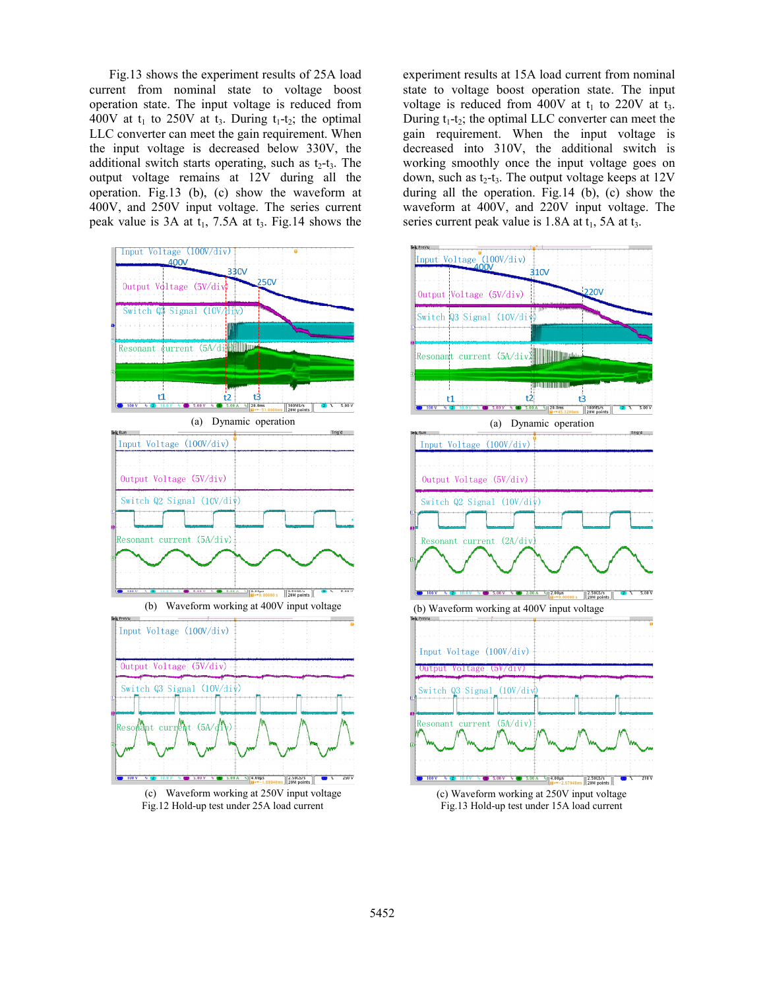Fig.13 shows the experiment results of 25A load current from nominal state to voltage boost operation state. The input voltage is reduced from 400V at  $t_1$  to 250V at  $t_3$ . During  $t_1-t_2$ ; the optimal LLC converter can meet the gain requirement. When the input voltage is decreased below 330V, the additional switch starts operating, such as  $t_2-t_3$ . The output voltage remains at 12V during all the operation. Fig.13 (b), (c) show the waveform at 400V, and 250V input voltage. The series current peak value is  $3A$  at  $t_1$ ,  $7.5A$  at  $t_3$ . Fig. 14 shows the





experiment results at 15A load current from nominal state to voltage boost operation state. The input voltage is reduced from 400V at  $t_1$  to 220V at  $t_3$ . During  $t_1-t_2$ ; the optimal LLC converter can meet the gain requirement. When the input voltage is decreased into 310V, the additional switch is working smoothly once the input voltage goes on down, such as  $t_2-t_3$ . The output voltage keeps at  $12V$ during all the operation. Fig.14 (b), (c) show the waveform at 400V, and 220V input voltage. The series current peak value is  $1.8A$  at  $t_1$ ,  $5A$  at  $t_3$ .